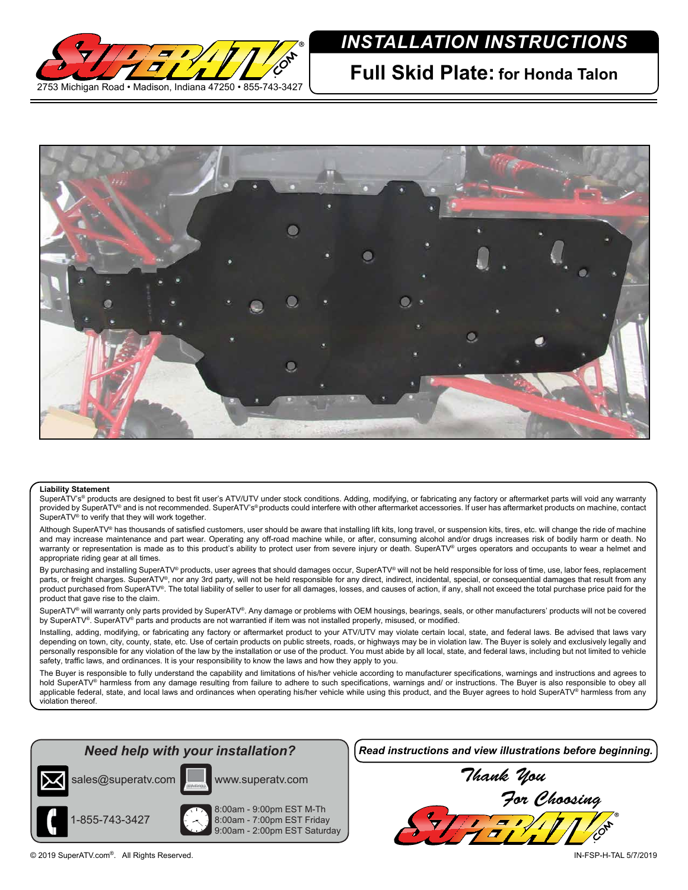

## *INSTALLATION INSTRUCTIONS*

**Full Skid Plate: for Honda Talon**



## **Liability Statement**

SuperATV's<sup>®</sup> products are designed to best fit user's ATV/UTV under stock conditions. Adding, modifying, or fabricating any factory or aftermarket parts will void any warranty provided by SuperATV® and is not recommended. SuperATV's® products could interfere with other aftermarket accessories. If user has aftermarket products on machine, contact SuperATV<sup>®</sup> to verify that they will work together.

Although SuperATV® has thousands of satisfied customers, user should be aware that installing lift kits, long travel, or suspension kits, tires, etc. will change the ride of machine and may increase maintenance and part wear. Operating any off-road machine while, or after, consuming alcohol and/or drugs increases risk of bodily harm or death. No warranty or representation is made as to this product's ability to protect user from severe injury or death. SuperATV® urges operators and occupants to wear a helmet and appropriate riding gear at all times.

By purchasing and installing SuperATV® products, user agrees that should damages occur, SuperATV® will not be held responsible for loss of time, use, labor fees, replacement parts, or freight charges. SuperATV®, nor any 3rd party, will not be held responsible for any direct, indirect, incidental, special, or consequential damages that result from any product purchased from SuperATV®. The total liability of seller to user for all damages, losses, and causes of action, if any, shall not exceed the total purchase price paid for the product that gave rise to the claim.

SuperATV® will warranty only parts provided by SuperATV®. Any damage or problems with OEM housings, bearings, seals, or other manufacturers' products will not be covered by SuperATV®. SuperATV® parts and products are not warrantied if item was not installed properly, misused, or modified.

Installing, adding, modifying, or fabricating any factory or aftermarket product to your ATV/UTV may violate certain local, state, and federal laws. Be advised that laws vary depending on town, city, county, state, etc. Use of certain products on public streets, roads, or highways may be in violation law. The Buyer is solely and exclusively legally and personally responsible for any violation of the law by the installation or use of the product. You must abide by all local, state, and federal laws, including but not limited to vehicle safety, traffic laws, and ordinances. It is your responsibility to know the laws and how they apply to you.

The Buyer is responsible to fully understand the capability and limitations of his/her vehicle according to manufacturer specifications, warnings and instructions and agrees to hold SuperATV<sup>®</sup> harmless from any damage resulting from failure to adhere to such specifications, warnings and/ or instructions. The Buyer is also responsible to obey all applicable federal, state, and local laws and ordinances when operating his/her vehicle while using this product, and the Buyer agrees to hold SuperATV® harmless from any violation thereof.



8:00am - 9:00pm EST M-Th 8:00am - 7:00pm EST Friday 9:00am - 2:00pm EST Saturday

1-855-743-3427

*Read instructions and view illustrations before beginning.*

*Thank You For Choosing* 7371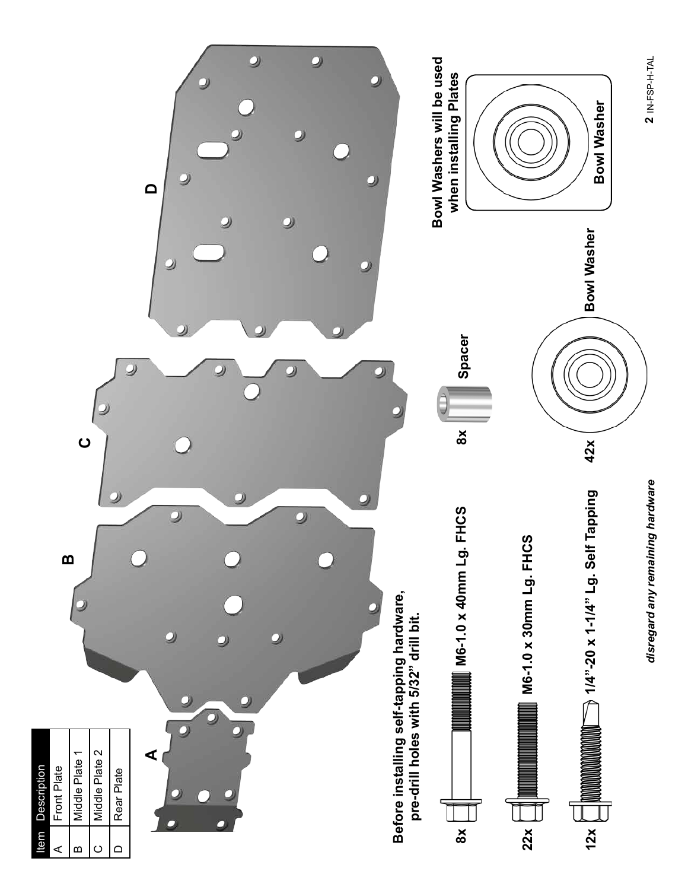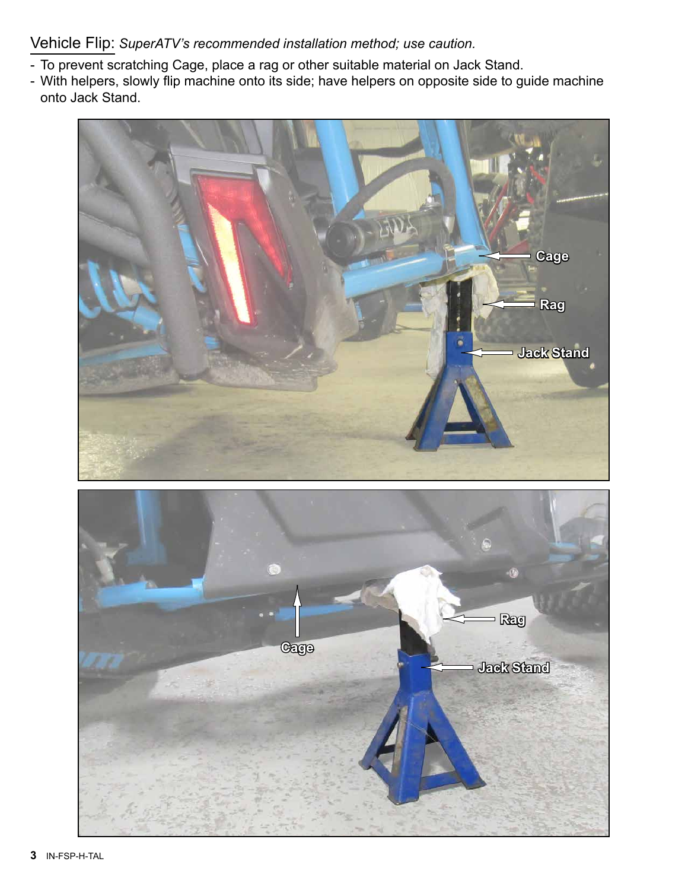Vehicle Flip: *SuperATV's recommended installation method; use caution.*

- To prevent scratching Cage, place a rag or other suitable material on Jack Stand.
- With helpers, slowly flip machine onto its side; have helpers on opposite side to guide machine onto Jack Stand.



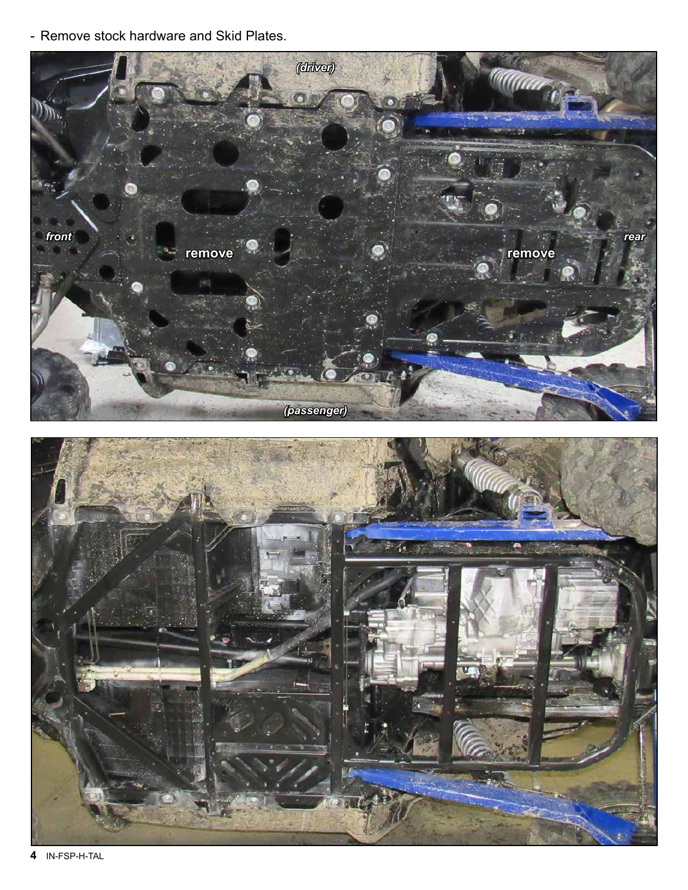- Remove stock hardware and Skid Plates.



**4** IN-FSP-H-TAL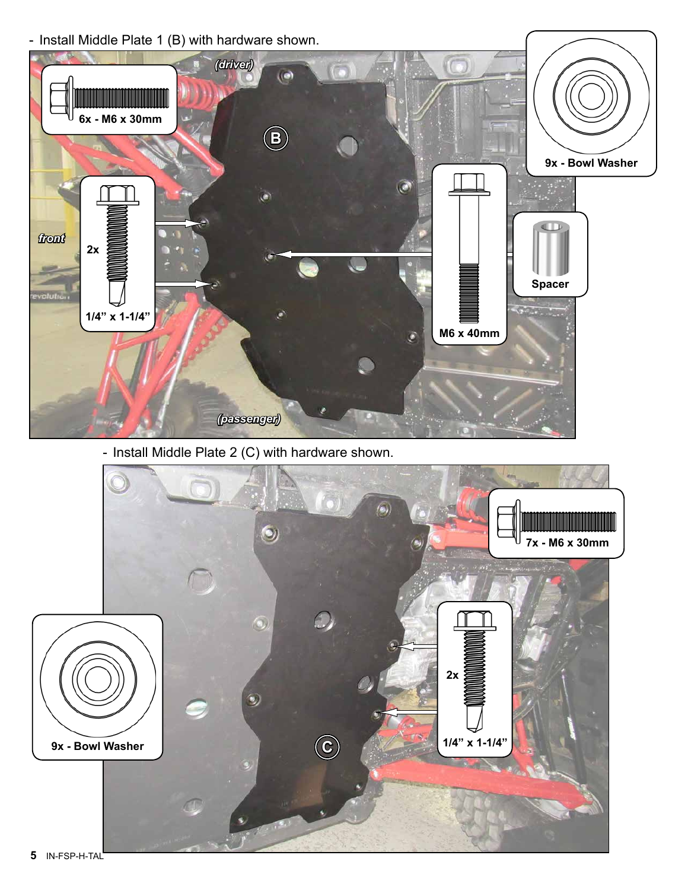



- Install Middle Plate 2 (C) with hardware shown.



**5** IN-FSP-H-TAL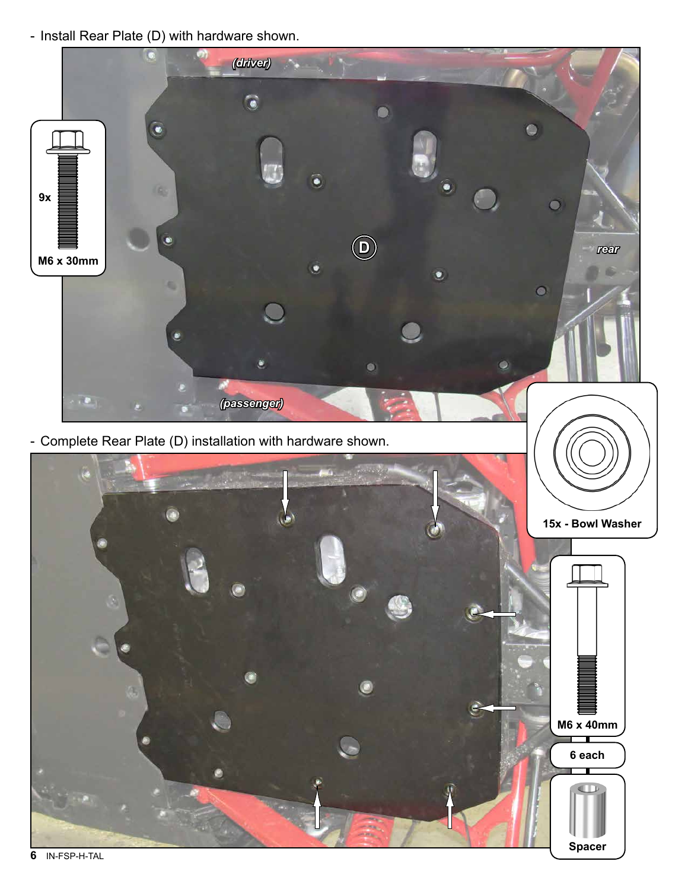- Install Rear Plate (D) with hardware shown.